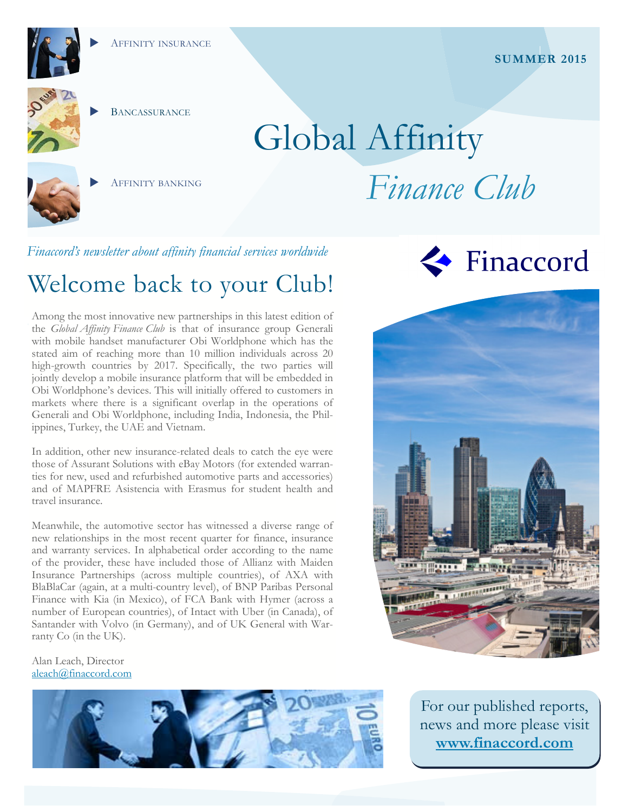AFFINITY INSURANCE



**BANCASSURANCE** 

# Global Affinity *Finance Club*



AFFINITY BANKING

### *Finaccord's newsletter about affinity financial services worldwide*

# Welcome back to your Club!

Among the most innovative new partnerships in this latest edition of the *Global Affinity Finance Club* is that of insurance group Generali with mobile handset manufacturer Obi Worldphone which has the stated aim of reaching more than 10 million individuals across 20 high-growth countries by 2017. Specifically, the two parties will jointly develop a mobile insurance platform that will be embedded in Obi Worldphone's devices. This will initially offered to customers in markets where there is a significant overlap in the operations of Generali and Obi Worldphone, including India, Indonesia, the Philippines, Turkey, the UAE and Vietnam.

In addition, other new insurance-related deals to catch the eye were those of Assurant Solutions with eBay Motors (for extended warranties for new, used and refurbished automotive parts and accessories) and of MAPFRE Asistencia with Erasmus for student health and travel insurance.

Meanwhile, the automotive sector has witnessed a diverse range of new relationships in the most recent quarter for finance, insurance and warranty services. In alphabetical order according to the name of the provider, these have included those of Allianz with Maiden Insurance Partnerships (across multiple countries), of AXA with BlaBlaCar (again, at a multi-country level), of BNP Paribas Personal Finance with Kia (in Mexico), of FCA Bank with Hymer (across a number of European countries), of Intact with Uber (in Canada), of Santander with Volvo (in Germany), and of UK General with Warranty Co (in the UK).

#### Alan Leach, Director aleach@finaccord.com







For our published reports, news and more please visit **www.finaccord.com**

**SUMMER 2015**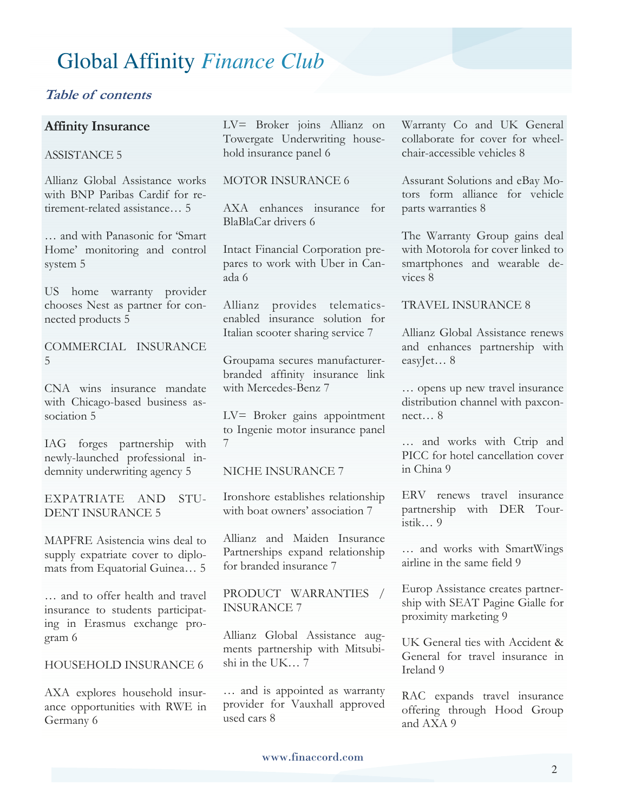### **Table of contents**

### **Affinity Insurance**

#### ASSISTANCE 5

Allianz Global Assistance works with BNP Paribas Cardif for retirement-related assistance… 5

… and with Panasonic for 'Smart Home' monitoring and control system 5

US home warranty provider chooses Nest as partner for connected products 5

COMMERCIAL INSURANCE 5

CNA wins insurance mandate with Chicago-based business association 5

IAG forges partnership with newly-launched professional indemnity underwriting agency 5

EXPATRIATE AND STU-DENT INSURANCE 5

MAPFRE Asistencia wins deal to supply expatriate cover to diplomats from Equatorial Guinea… 5

… and to offer health and travel insurance to students participating in Erasmus exchange program 6

HOUSEHOLD INSURANCE 6

AXA explores household insurance opportunities with RWE in Germany 6

LV= Broker joins Allianz on Towergate Underwriting household insurance panel 6

#### MOTOR INSURANCE 6

AXA enhances insurance for BlaBlaCar drivers 6

Intact Financial Corporation prepares to work with Uber in Canada 6

Allianz provides telematicsenabled insurance solution for Italian scooter sharing service 7

Groupama secures manufacturerbranded affinity insurance link with Mercedes-Benz 7

LV= Broker gains appointment to Ingenie motor insurance panel 7

#### NICHE INSURANCE 7

Ironshore establishes relationship with boat owners' association 7

Allianz and Maiden Insurance Partnerships expand relationship for branded insurance 7

PRODUCT WARRANTIES / INSURANCE 7

Allianz Global Assistance augments partnership with Mitsubishi in the UK… 7

… and is appointed as warranty provider for Vauxhall approved used cars 8

Warranty Co and UK General collaborate for cover for wheelchair-accessible vehicles 8

Assurant Solutions and eBay Motors form alliance for vehicle parts warranties 8

The Warranty Group gains deal with Motorola for cover linked to smartphones and wearable devices 8

#### TRAVEL INSURANCE 8

Allianz Global Assistance renews and enhances partnership with easyJet… 8

… opens up new travel insurance distribution channel with paxconnect… 8

… and works with Ctrip and PICC for hotel cancellation cover in China 9

ERV renews travel insurance partnership with DER Touristik… 9

… and works with SmartWings airline in the same field 9

Europ Assistance creates partnership with SEAT Pagine Gialle for proximity marketing 9

UK General ties with Accident & General for travel insurance in Ireland 9

RAC expands travel insurance offering through Hood Group and AXA 9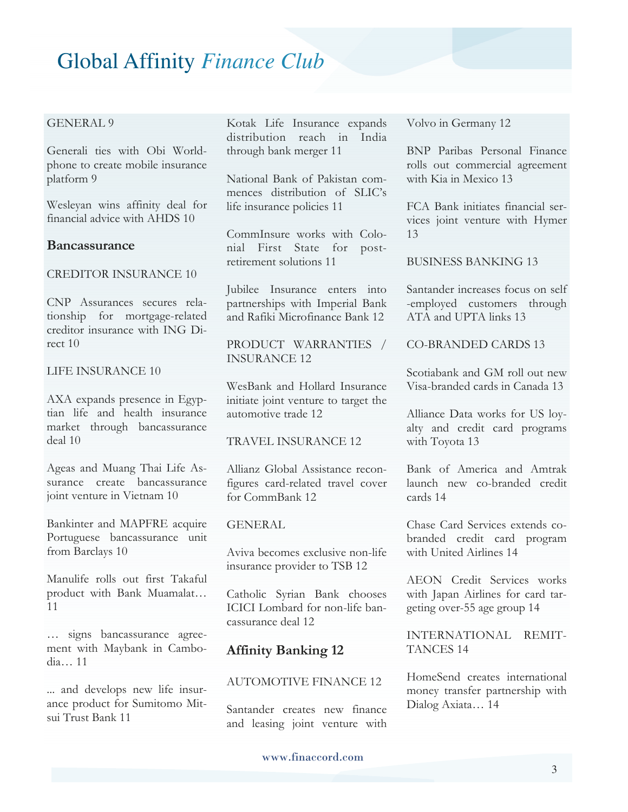#### GENERAL 9

Generali ties with Obi Worldphone to create mobile insurance platform 9

Wesleyan wins affinity deal for financial advice with AHDS 10

#### **Bancassurance**

#### CREDITOR INSURANCE 10

CNP Assurances secures relationship for mortgage-related creditor insurance with ING Direct 10

#### LIFE INSURANCE 10

AXA expands presence in Egyptian life and health insurance market through bancassurance deal 10

Ageas and Muang Thai Life Assurance create bancassurance joint venture in Vietnam 10

Bankinter and MAPFRE acquire Portuguese bancassurance unit from Barclays 10

Manulife rolls out first Takaful product with Bank Muamalat… 11

… signs bancassurance agreement with Maybank in Cambodia… 11

... and develops new life insurance product for Sumitomo Mitsui Trust Bank 11

Kotak Life Insurance expands distribution reach in India through bank merger 11

National Bank of Pakistan commences distribution of SLIC's life insurance policies 11

CommInsure works with Colonial First State for postretirement solutions 11

Jubilee Insurance enters into partnerships with Imperial Bank and Rafiki Microfinance Bank 12

PRODUCT WARRANTIES / INSURANCE 12

WesBank and Hollard Insurance initiate joint venture to target the automotive trade 12

#### TRAVEL INSURANCE 12

Allianz Global Assistance reconfigures card-related travel cover for CommBank 12

#### **GENERAL**

Aviva becomes exclusive non-life insurance provider to TSB 12

Catholic Syrian Bank chooses ICICI Lombard for non-life bancassurance deal 12

#### **Affinity Banking 12**

#### AUTOMOTIVE FINANCE 12

Santander creates new finance and leasing joint venture with Volvo in Germany 12

BNP Paribas Personal Finance rolls out commercial agreement with Kia in Mexico 13

FCA Bank initiates financial services joint venture with Hymer 13

BUSINESS BANKING 13

Santander increases focus on self -employed customers through ATA and UPTA links 13

CO-BRANDED CARDS 13

Scotiabank and GM roll out new Visa-branded cards in Canada 13

Alliance Data works for US loyalty and credit card programs with Toyota 13

Bank of America and Amtrak launch new co-branded credit cards 14

Chase Card Services extends cobranded credit card program with United Airlines 14

AEON Credit Services works with Japan Airlines for card targeting over-55 age group 14

INTERNATIONAL REMIT-TANCES 14

HomeSend creates international money transfer partnership with Dialog Axiata… 14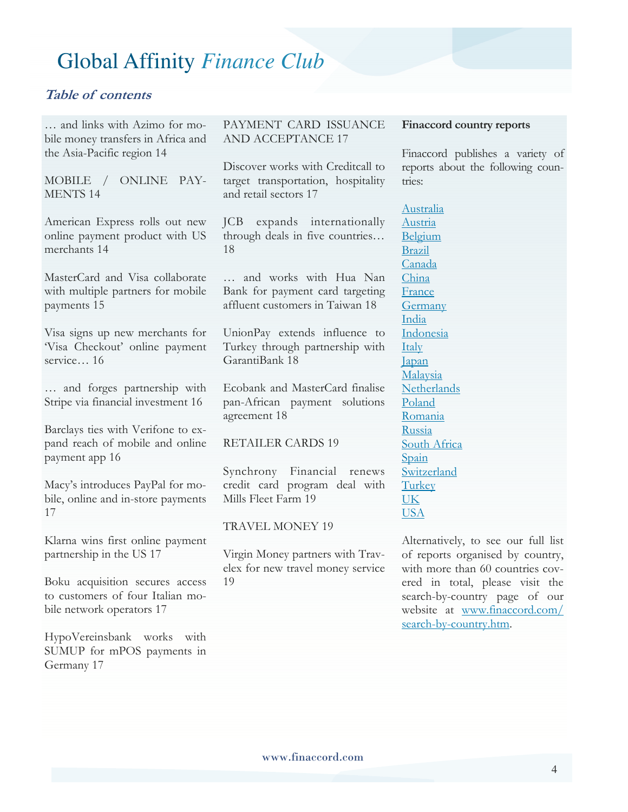### **Table of contents**

… and links with Azimo for mobile money transfers in Africa and the Asia-Pacific region 14

MOBILE / ONLINE PAY-MENTS 14

American Express rolls out new online payment product with US merchants 14

MasterCard and Visa collaborate with multiple partners for mobile payments 15

Visa signs up new merchants for 'Visa Checkout' online payment service… 16

… and forges partnership with Stripe via financial investment 16

Barclays ties with Verifone to expand reach of mobile and online payment app 16

Macy's introduces PayPal for mobile, online and in-store payments 17

Klarna wins first online payment partnership in the US 17

Boku acquisition secures access to customers of four Italian mobile network operators 17

HypoVereinsbank works with SUMUP for mPOS payments in Germany 17

PAYMENT CARD ISSUANCE AND ACCEPTANCE 17

Discover works with Creditcall to target transportation, hospitality and retail sectors 17

JCB expands internationally through deals in five countries… 18

… and works with Hua Nan Bank for payment card targeting affluent customers in Taiwan 18

UnionPay extends influence to Turkey through partnership with GarantiBank 18

Ecobank and MasterCard finalise pan-African payment solutions agreement 18

RETAILER CARDS 19

Synchrony Financial renews credit card program deal with Mills Fleet Farm 19

TRAVEL MONEY 19

Virgin Money partners with Travelex for new travel money service 19

#### **Finaccord country reports**

Finaccord publishes a variety of reports about the following countries:

Australia Austria Belgium Brazil Canada China France Germany India Indonesia Italy Japan Malaysia **Netherlands** Poland Romania Russia South Africa Spain Switzerland **Turkey** UK USA

Alternatively, to see our full list of reports organised by country, with more than 60 countries covered in total, please visit the search-by-country page of our website at www.finaccord.com/ search-by-country.htm.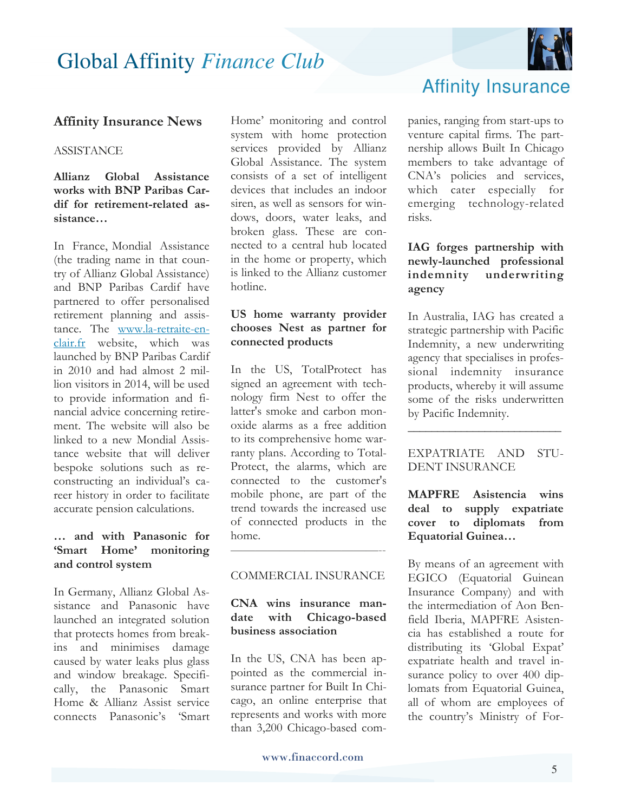

### **Affinity Insurance News**

#### **ASSISTANCE**

#### **Allianz Global Assistance works with BNP Paribas Cardif for retirement-related assistance…**

In France, Mondial Assistance (the trading name in that country of Allianz Global Assistance) and BNP Paribas Cardif have partnered to offer personalised retirement planning and assistance. The www.la-retraite-enclair.fr website, which was launched by BNP Paribas Cardif in 2010 and had almost 2 million visitors in 2014, will be used to provide information and financial advice concerning retirement. The website will also be linked to a new Mondial Assistance website that will deliver bespoke solutions such as reconstructing an individual's career history in order to facilitate accurate pension calculations.

### **… and with Panasonic for 'Smart Home' monitoring and control system**

In Germany, Allianz Global Assistance and Panasonic have launched an integrated solution that protects homes from breakins and minimises damage caused by water leaks plus glass and window breakage. Specifically, the Panasonic Smart Home & Allianz Assist service connects Panasonic's 'Smart

Home' monitoring and control system with home protection services provided by Allianz Global Assistance. The system consists of a set of intelligent devices that includes an indoor siren, as well as sensors for windows, doors, water leaks, and broken glass. These are connected to a central hub located in the home or property, which is linked to the Allianz customer hotline.

#### **US home warranty provider chooses Nest as partner for connected products**

In the US, TotalProtect has signed an agreement with technology firm Nest to offer the latter's smoke and carbon monoxide alarms as a free addition to its comprehensive home warranty plans. According to Total-Protect, the alarms, which are connected to the customer's mobile phone, are part of the trend towards the increased use of connected products in the home.

#### COMMERCIAL INSURANCE

————————————--

#### **CNA wins insurance mandate with Chicago-based business association**

In the US, CNA has been appointed as the commercial insurance partner for Built In Chicago, an online enterprise that represents and works with more than 3,200 Chicago-based companies, ranging from start-ups to venture capital firms. The partnership allows Built In Chicago members to take advantage of CNA's policies and services, which cater especially for emerging technology-related risks.

#### **IAG forges partnership with newly-launched professional indemnity underwriting agency**

In Australia, IAG has created a strategic partnership with Pacific Indemnity, a new underwriting agency that specialises in professional indemnity insurance products, whereby it will assume some of the risks underwritten by Pacific Indemnity.

#### EXPATRIATE AND STU-DENT INSURANCE

**\_\_\_\_\_\_\_\_\_\_\_\_\_\_\_\_\_\_\_\_\_\_\_\_\_\_** 

**MAPFRE Asistencia wins deal to supply expatriate cover to diplomats from Equatorial Guinea…** 

By means of an agreement with EGICO (Equatorial Guinean Insurance Company) and with the intermediation of Aon Benfield Iberia, MAPFRE Asistencia has established a route for distributing its 'Global Expat' expatriate health and travel insurance policy to over 400 diplomats from Equatorial Guinea, all of whom are employees of the country's Ministry of For-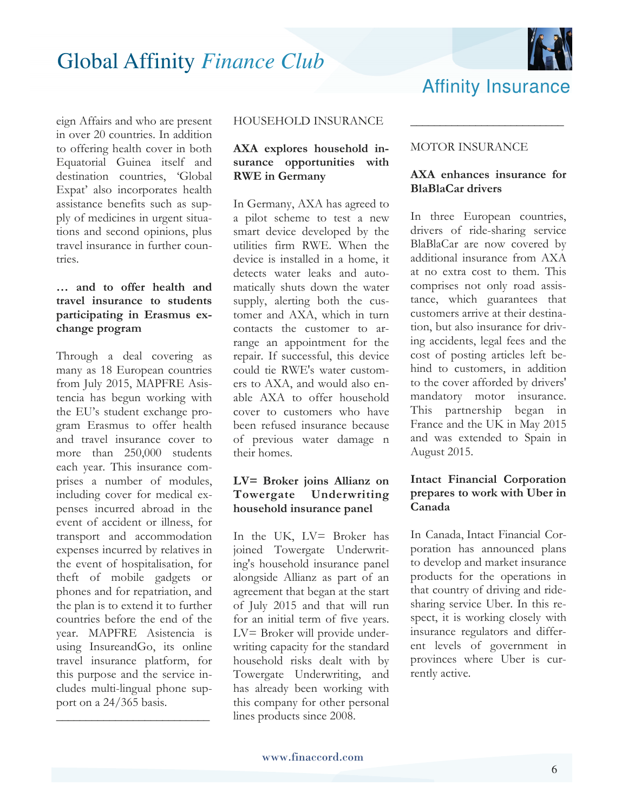

eign Affairs and who are present in over 20 countries. In addition to offering health cover in both Equatorial Guinea itself and destination countries, 'Global Expat' also incorporates health assistance benefits such as supply of medicines in urgent situations and second opinions, plus travel insurance in further countries.

### **… and to offer health and travel insurance to students participating in Erasmus exchange program**

Through a deal covering as many as 18 European countries from July 2015, MAPFRE Asistencia has begun working with the EU's student exchange program Erasmus to offer health and travel insurance cover to more than 250,000 students each year. This insurance comprises a number of modules, including cover for medical expenses incurred abroad in the event of accident or illness, for transport and accommodation expenses incurred by relatives in the event of hospitalisation, for theft of mobile gadgets or phones and for repatriation, and the plan is to extend it to further countries before the end of the year. MAPFRE Asistencia is using InsureandGo, its online travel insurance platform, for this purpose and the service includes multi-lingual phone support on a 24/365 basis.

**\_\_\_\_\_\_\_\_\_\_\_\_\_\_\_\_\_\_\_\_\_\_\_\_\_\_**

#### HOUSEHOLD INSURANCE

#### **AXA explores household insurance opportunities with RWE in Germany**

In Germany, AXA has agreed to a pilot scheme to test a new smart device developed by the utilities firm RWE. When the device is installed in a home, it detects water leaks and automatically shuts down the water supply, alerting both the customer and AXA, which in turn contacts the customer to arrange an appointment for the repair. If successful, this device could tie RWE's water customers to AXA, and would also enable AXA to offer household cover to customers who have been refused insurance because of previous water damage n their homes.

### **LV= Broker joins Allianz on Towergate Underwriting household insurance panel**

In the UK, LV= Broker has joined Towergate Underwriting's household insurance panel alongside Allianz as part of an agreement that began at the start of July 2015 and that will run for an initial term of five years. LV= Broker will provide underwriting capacity for the standard household risks dealt with by Towergate Underwriting, and has already been working with this company for other personal lines products since 2008.

#### MOTOR INSURANCE

#### **AXA enhances insurance for BlaBlaCar drivers**

**\_\_\_\_\_\_\_\_\_\_\_\_\_\_\_\_\_\_\_\_\_\_\_\_\_\_**

Affinity Insurance

In three European countries, drivers of ride-sharing service BlaBlaCar are now covered by additional insurance from AXA at no extra cost to them. This comprises not only road assistance, which guarantees that customers arrive at their destination, but also insurance for driving accidents, legal fees and the cost of posting articles left behind to customers, in addition to the cover afforded by drivers' mandatory motor insurance. This partnership began in France and the UK in May 2015 and was extended to Spain in August 2015.

### **Intact Financial Corporation prepares to work with Uber in Canada**

In Canada, Intact Financial Corporation has announced plans to develop and market insurance products for the operations in that country of driving and ridesharing service Uber. In this respect, it is working closely with insurance regulators and different levels of government in provinces where Uber is currently active.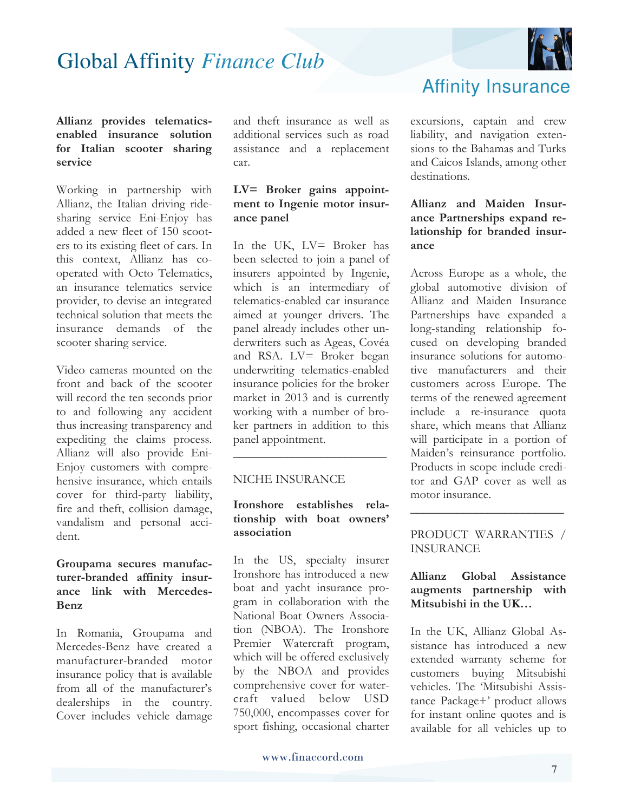

#### **Allianz provides telematicsenabled insurance solution for Italian scooter sharing service**

Working in partnership with Allianz, the Italian driving ridesharing service Eni-Enjoy has added a new fleet of 150 scooters to its existing fleet of cars. In this context, Allianz has cooperated with Octo Telematics, an insurance telematics service provider, to devise an integrated technical solution that meets the insurance demands of the scooter sharing service.

Video cameras mounted on the front and back of the scooter will record the ten seconds prior to and following any accident thus increasing transparency and expediting the claims process. Allianz will also provide Eni-Enjoy customers with comprehensive insurance, which entails cover for third-party liability, fire and theft, collision damage, vandalism and personal accident.

#### **Groupama secures manufacturer-branded affinity insurance link with Mercedes-Benz**

In Romania, Groupama and Mercedes-Benz have created a manufacturer-branded motor insurance policy that is available from all of the manufacturer's dealerships in the country. Cover includes vehicle damage and theft insurance as well as additional services such as road assistance and a replacement car.

### **LV= Broker gains appointment to Ingenie motor insurance panel**

In the UK, LV= Broker has been selected to join a panel of insurers appointed by Ingenie, which is an intermediary of telematics-enabled car insurance aimed at younger drivers. The panel already includes other underwriters such as Ageas, Covéa and RSA. LV= Broker began underwriting telematics-enabled insurance policies for the broker market in 2013 and is currently working with a number of broker partners in addition to this panel appointment.

#### NICHE INSURANCE

### **Ironshore establishes relationship with boat owners' association**

**\_\_\_\_\_\_\_\_\_\_\_\_\_\_\_\_\_\_\_\_\_\_\_\_\_\_**

In the US, specialty insurer Ironshore has introduced a new boat and yacht insurance program in collaboration with the National Boat Owners Association (NBOA). The Ironshore Premier Watercraft program, which will be offered exclusively by the NBOA and provides comprehensive cover for watercraft valued below USD 750,000, encompasses cover for sport fishing, occasional charter

Affinity Insurance

excursions, captain and crew liability, and navigation extensions to the Bahamas and Turks and Caicos Islands, among other destinations.

#### **Allianz and Maiden Insurance Partnerships expand relationship for branded insurance**

Across Europe as a whole, the global automotive division of Allianz and Maiden Insurance Partnerships have expanded a long-standing relationship focused on developing branded insurance solutions for automotive manufacturers and their customers across Europe. The terms of the renewed agreement include a re-insurance quota share, which means that Allianz will participate in a portion of Maiden's reinsurance portfolio. Products in scope include creditor and GAP cover as well as motor insurance.

PRODUCT WARRANTIES / INSURANCE

**\_\_\_\_\_\_\_\_\_\_\_\_\_\_\_\_\_\_\_\_\_\_\_\_\_\_**

### **Allianz Global Assistance augments partnership with Mitsubishi in the UK…**

In the UK, Allianz Global Assistance has introduced a new extended warranty scheme for customers buying Mitsubishi vehicles. The 'Mitsubishi Assistance Package+' product allows for instant online quotes and is available for all vehicles up to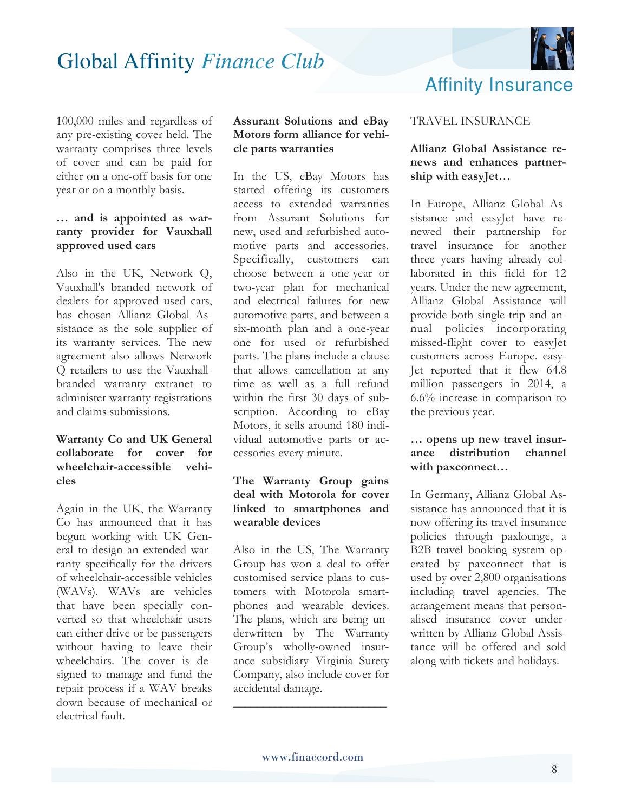

100,000 miles and regardless of any pre-existing cover held. The warranty comprises three levels of cover and can be paid for either on a one-off basis for one year or on a monthly basis.

#### **… and is appointed as warranty provider for Vauxhall approved used cars**

Also in the UK, Network Q, Vauxhall's branded network of dealers for approved used cars, has chosen Allianz Global Assistance as the sole supplier of its warranty services. The new agreement also allows Network Q retailers to use the Vauxhallbranded warranty extranet to administer warranty registrations and claims submissions.

#### **Warranty Co and UK General collaborate for cover for wheelchair-accessible vehicles**

Again in the UK, the Warranty Co has announced that it has begun working with UK General to design an extended warranty specifically for the drivers of wheelchair-accessible vehicles (WAVs). WAVs are vehicles that have been specially converted so that wheelchair users can either drive or be passengers without having to leave their wheelchairs. The cover is designed to manage and fund the repair process if a WAV breaks down because of mechanical or electrical fault.

#### **Assurant Solutions and eBay Motors form alliance for vehicle parts warranties**

In the US, eBay Motors has started offering its customers access to extended warranties from Assurant Solutions for new, used and refurbished automotive parts and accessories. Specifically, customers can choose between a one-year or two-year plan for mechanical and electrical failures for new automotive parts, and between a six-month plan and a one-year one for used or refurbished parts. The plans include a clause that allows cancellation at any time as well as a full refund within the first 30 days of subscription. According to eBay Motors, it sells around 180 individual automotive parts or accessories every minute.

#### **The Warranty Group gains deal with Motorola for cover linked to smartphones and wearable devices**

Also in the US, The Warranty Group has won a deal to offer customised service plans to customers with Motorola smartphones and wearable devices. The plans, which are being underwritten by The Warranty Group's wholly-owned insurance subsidiary Virginia Surety Company, also include cover for accidental damage.

#### TRAVEL INSURANCE

#### **Allianz Global Assistance renews and enhances partnership with easyJet…**

In Europe, Allianz Global Assistance and easyJet have renewed their partnership for travel insurance for another three years having already collaborated in this field for 12 years. Under the new agreement, Allianz Global Assistance will provide both single-trip and annual policies incorporating missed-flight cover to easyJet customers across Europe. easy-Jet reported that it flew 64.8 million passengers in 2014, a 6.6% increase in comparison to the previous year.

#### **… opens up new travel insurance distribution channel with paxconnect…**

In Germany, Allianz Global Assistance has announced that it is now offering its travel insurance policies through paxlounge, a B2B travel booking system operated by paxconnect that is used by over 2,800 organisations including travel agencies. The arrangement means that personalised insurance cover underwritten by Allianz Global Assistance will be offered and sold along with tickets and holidays.

**\_\_\_\_\_\_\_\_\_\_\_\_\_\_\_\_\_\_\_\_\_\_\_\_\_\_**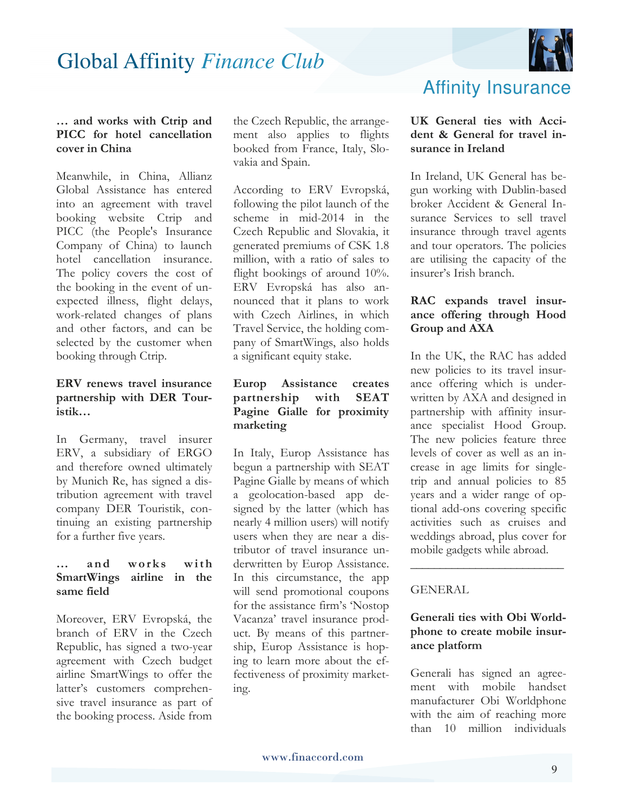

#### **… and works with Ctrip and PICC for hotel cancellation cover in China**

Meanwhile, in China, Allianz Global Assistance has entered into an agreement with travel booking website Ctrip and PICC (the People's Insurance Company of China) to launch hotel cancellation insurance. The policy covers the cost of the booking in the event of unexpected illness, flight delays, work-related changes of plans and other factors, and can be selected by the customer when booking through Ctrip.

### **ERV renews travel insurance partnership with DER Touristik…**

In Germany, travel insurer ERV, a subsidiary of ERGO and therefore owned ultimately by Munich Re, has signed a distribution agreement with travel company DER Touristik, continuing an existing partnership for a further five years.

#### **… a n d w o r k s w i t h SmartWings airline in the same field**

Moreover, ERV Evropská, the branch of ERV in the Czech Republic, has signed a two-year agreement with Czech budget airline SmartWings to offer the latter's customers comprehensive travel insurance as part of the booking process. Aside from

the Czech Republic, the arrangement also applies to flights booked from France, Italy, Slovakia and Spain.

According to ERV Evropská, following the pilot launch of the scheme in mid-2014 in the Czech Republic and Slovakia, it generated premiums of CSK 1.8 million, with a ratio of sales to flight bookings of around  $10\%$ . ERV Evropská has also announced that it plans to work with Czech Airlines, in which Travel Service, the holding company of SmartWings, also holds a significant equity stake.

#### **Europ Assistance creates partnership with SEAT Pagine Gialle for proximity marketing**

In Italy, Europ Assistance has begun a partnership with SEAT Pagine Gialle by means of which a geolocation-based app designed by the latter (which has nearly 4 million users) will notify users when they are near a distributor of travel insurance underwritten by Europ Assistance. In this circumstance, the app will send promotional coupons for the assistance firm's 'Nostop Vacanza' travel insurance product. By means of this partnership, Europ Assistance is hoping to learn more about the effectiveness of proximity marketing.

### Affinity Insurance

#### **UK General ties with Accident & General for travel insurance in Ireland**

In Ireland, UK General has begun working with Dublin-based broker Accident & General Insurance Services to sell travel insurance through travel agents and tour operators. The policies are utilising the capacity of the insurer's Irish branch.

### **RAC expands travel insurance offering through Hood Group and AXA**

In the UK, the RAC has added new policies to its travel insurance offering which is underwritten by AXA and designed in partnership with affinity insurance specialist Hood Group. The new policies feature three levels of cover as well as an increase in age limits for singletrip and annual policies to 85 years and a wider range of optional add-ons covering specific activities such as cruises and weddings abroad, plus cover for mobile gadgets while abroad.

#### GENERAL

#### **Generali ties with Obi Worldphone to create mobile insurance platform**

**\_\_\_\_\_\_\_\_\_\_\_\_\_\_\_\_\_\_\_\_\_\_\_\_\_\_**

Generali has signed an agreement with mobile handset manufacturer Obi Worldphone with the aim of reaching more than 10 million individuals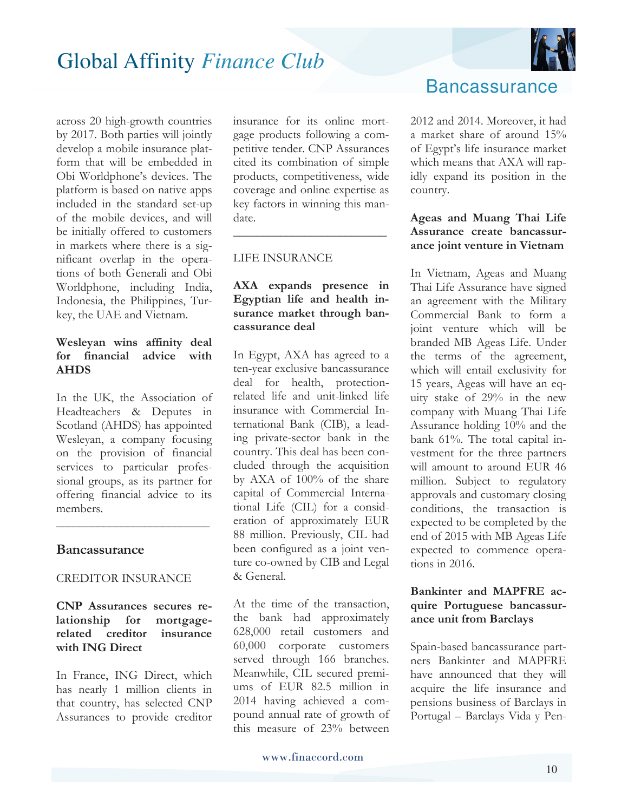across 20 high-growth countries by 2017. Both parties will jointly develop a mobile insurance platform that will be embedded in Obi Worldphone's devices. The platform is based on native apps included in the standard set-up of the mobile devices, and will be initially offered to customers in markets where there is a significant overlap in the operations of both Generali and Obi Worldphone, including India, Indonesia, the Philippines, Turkey, the UAE and Vietnam.

#### **Wesleyan wins affinity deal for financial advice with AHDS**

In the UK, the Association of Headteachers & Deputes in Scotland (AHDS) has appointed Wesleyan, a company focusing on the provision of financial services to particular professional groups, as its partner for offering financial advice to its members.

**\_\_\_\_\_\_\_\_\_\_\_\_\_\_\_\_\_\_\_\_\_\_\_\_\_\_**

#### **Bancassurance**

#### CREDITOR INSURANCE

#### **CNP Assurances secures relationship for mortgagerelated creditor insurance with ING Direct**

In France, ING Direct, which has nearly 1 million clients in that country, has selected CNP Assurances to provide creditor insurance for its online mortgage products following a competitive tender. CNP Assurances cited its combination of simple products, competitiveness, wide coverage and online expertise as key factors in winning this mandate.

**\_\_\_\_\_\_\_\_\_\_\_\_\_\_\_\_\_\_\_\_\_\_\_\_\_\_**

#### LIFE INSURANCE

#### **AXA expands presence in Egyptian life and health insurance market through bancassurance deal**

In Egypt, AXA has agreed to a ten-year exclusive bancassurance deal for health, protectionrelated life and unit-linked life insurance with Commercial International Bank (CIB), a leading private-sector bank in the country. This deal has been concluded through the acquisition by AXA of 100% of the share capital of Commercial International Life (CIL) for a consideration of approximately EUR 88 million. Previously, CIL had been configured as a joint venture co-owned by CIB and Legal & General.

At the time of the transaction, the bank had approximately 628,000 retail customers and 60,000 corporate customers served through 166 branches. Meanwhile, CIL secured premiums of EUR 82.5 million in 2014 having achieved a compound annual rate of growth of this measure of 23% between



### **Bancassurance**

2012 and 2014. Moreover, it had a market share of around 15% of Egypt's life insurance market which means that AXA will rapidly expand its position in the country.

#### **Ageas and Muang Thai Life Assurance create bancassurance joint venture in Vietnam**

In Vietnam, Ageas and Muang Thai Life Assurance have signed an agreement with the Military Commercial Bank to form a joint venture which will be branded MB Ageas Life. Under the terms of the agreement, which will entail exclusivity for 15 years, Ageas will have an equity stake of 29% in the new company with Muang Thai Life Assurance holding 10% and the bank 61%. The total capital investment for the three partners will amount to around EUR 46 million. Subject to regulatory approvals and customary closing conditions, the transaction is expected to be completed by the end of 2015 with MB Ageas Life expected to commence operations in 2016.

#### **Bankinter and MAPFRE acquire Portuguese bancassurance unit from Barclays**

Spain-based bancassurance partners Bankinter and MAPFRE have announced that they will acquire the life insurance and pensions business of Barclays in Portugal – Barclays Vida y Pen-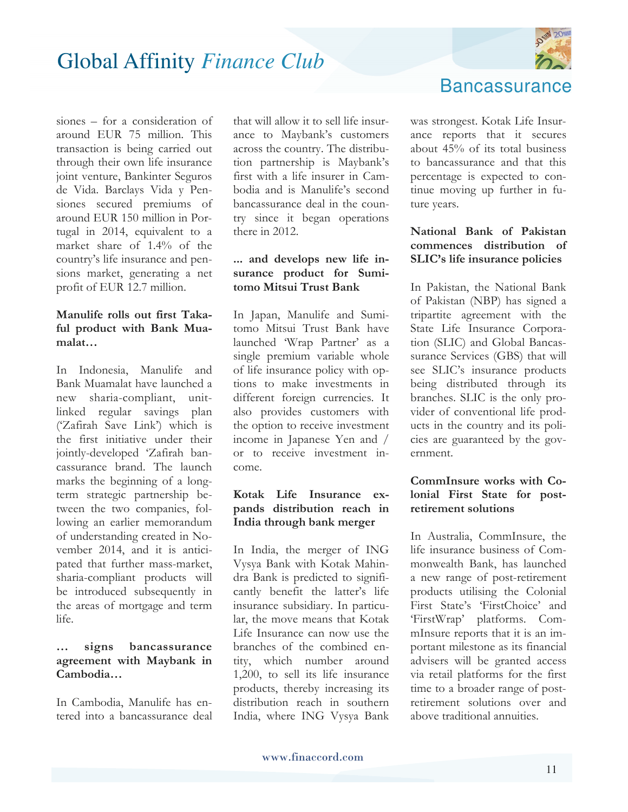

siones – for a consideration of around EUR 75 million. This transaction is being carried out through their own life insurance joint venture, Bankinter Seguros de Vida. Barclays Vida y Pensiones secured premiums of around EUR 150 million in Portugal in 2014, equivalent to a market share of 1.4% of the country's life insurance and pensions market, generating a net profit of EUR 12.7 million.

### **Manulife rolls out first Takaful product with Bank Muamalat…**

In Indonesia, Manulife and Bank Muamalat have launched a new sharia-compliant, unitlinked regular savings plan ('Zafirah Save Link') which is the first initiative under their jointly-developed 'Zafirah bancassurance brand. The launch marks the beginning of a longterm strategic partnership between the two companies, following an earlier memorandum of understanding created in November 2014, and it is anticipated that further mass-market, sharia-compliant products will be introduced subsequently in the areas of mortgage and term life.

#### **… signs bancassurance agreement with Maybank in Cambodia…**

In Cambodia, Manulife has entered into a bancassurance deal

that will allow it to sell life insurance to Maybank's customers across the country. The distribution partnership is Maybank's first with a life insurer in Cambodia and is Manulife's second bancassurance deal in the country since it began operations there in 2012.

### **... and develops new life insurance product for Sumitomo Mitsui Trust Bank**

In Japan, Manulife and Sumitomo Mitsui Trust Bank have launched 'Wrap Partner' as a single premium variable whole of life insurance policy with options to make investments in different foreign currencies. It also provides customers with the option to receive investment income in Japanese Yen and / or to receive investment income.

### **Kotak Life Insurance expands distribution reach in India through bank merger**

In India, the merger of ING Vysya Bank with Kotak Mahindra Bank is predicted to significantly benefit the latter's life insurance subsidiary. In particular, the move means that Kotak Life Insurance can now use the branches of the combined entity, which number around 1,200, to sell its life insurance products, thereby increasing its distribution reach in southern India, where ING Vysya Bank



was strongest. Kotak Life Insurance reports that it secures about 45% of its total business to bancassurance and that this percentage is expected to continue moving up further in future years.

### **National Bank of Pakistan commences distribution of SLIC's life insurance policies**

In Pakistan, the National Bank of Pakistan (NBP) has signed a tripartite agreement with the State Life Insurance Corporation (SLIC) and Global Bancassurance Services (GBS) that will see SLIC's insurance products being distributed through its branches. SLIC is the only provider of conventional life products in the country and its policies are guaranteed by the government.

### **CommInsure works with Colonial First State for postretirement solutions**

In Australia, CommInsure, the life insurance business of Commonwealth Bank, has launched a new range of post-retirement products utilising the Colonial First State's 'FirstChoice' and 'FirstWrap' platforms. CommInsure reports that it is an important milestone as its financial advisers will be granted access via retail platforms for the first time to a broader range of postretirement solutions over and above traditional annuities.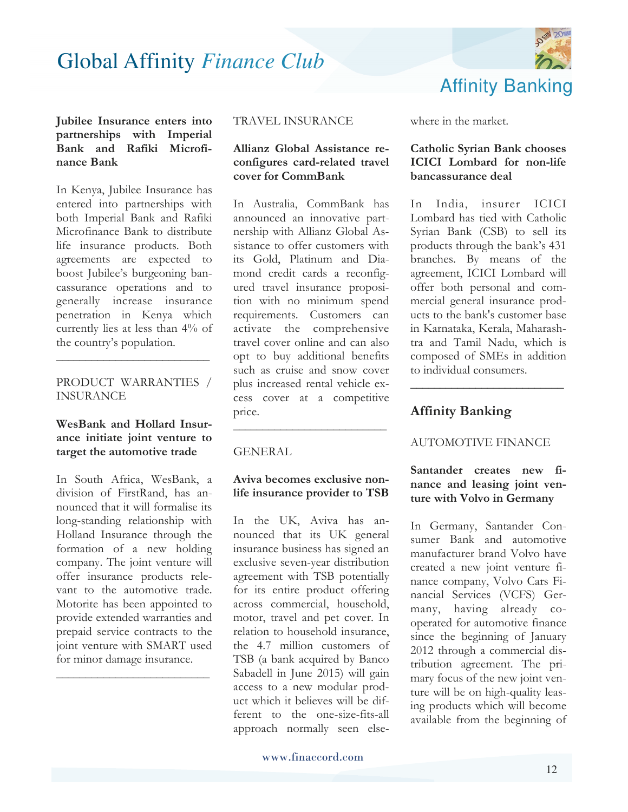

**Jubilee Insurance enters into partnerships with Imperial Bank and Rafiki Microfinance Bank** 

In Kenya, Jubilee Insurance has entered into partnerships with both Imperial Bank and Rafiki Microfinance Bank to distribute life insurance products. Both agreements are expected to boost Jubilee's burgeoning bancassurance operations and to generally increase insurance penetration in Kenya which currently lies at less than 4% of the country's population.

#### PRODUCT WARRANTIES / INSURANCE

**\_\_\_\_\_\_\_\_\_\_\_\_\_\_\_\_\_\_\_\_\_\_\_\_\_\_**

#### **WesBank and Hollard Insurance initiate joint venture to target the automotive trade**

In South Africa, WesBank, a division of FirstRand, has announced that it will formalise its long-standing relationship with Holland Insurance through the formation of a new holding company. The joint venture will offer insurance products relevant to the automotive trade. Motorite has been appointed to provide extended warranties and prepaid service contracts to the joint venture with SMART used for minor damage insurance.

**\_\_\_\_\_\_\_\_\_\_\_\_\_\_\_\_\_\_\_\_\_\_\_\_\_\_**

#### TRAVEL INSURANCE

#### **Allianz Global Assistance reconfigures card-related travel cover for CommBank**

In Australia, CommBank has announced an innovative partnership with Allianz Global Assistance to offer customers with its Gold, Platinum and Diamond credit cards a reconfigured travel insurance proposition with no minimum spend requirements. Customers can activate the comprehensive travel cover online and can also opt to buy additional benefits such as cruise and snow cover plus increased rental vehicle excess cover at a competitive price.

#### **GENERAL**

#### **Aviva becomes exclusive nonlife insurance provider to TSB**

**\_\_\_\_\_\_\_\_\_\_\_\_\_\_\_\_\_\_\_\_\_\_\_\_\_\_**

In the UK, Aviva has announced that its UK general insurance business has signed an exclusive seven-year distribution agreement with TSB potentially for its entire product offering across commercial, household, motor, travel and pet cover. In relation to household insurance, the 4.7 million customers of TSB (a bank acquired by Banco Sabadell in June 2015) will gain access to a new modular product which it believes will be different to the one-size-fits-all approach normally seen elsewhere in the market.

#### **Catholic Syrian Bank chooses ICICI Lombard for non-life bancassurance deal**

In India, insurer ICICI Lombard has tied with Catholic Syrian Bank (CSB) to sell its products through the bank's 431 branches. By means of the agreement, ICICI Lombard will offer both personal and commercial general insurance products to the bank's customer base in Karnataka, Kerala, Maharashtra and Tamil Nadu, which is composed of SMEs in addition to individual consumers.

### **Affinity Banking**

#### AUTOMOTIVE FINANCE

**\_\_\_\_\_\_\_\_\_\_\_\_\_\_\_\_\_\_\_\_\_\_\_\_\_\_**

#### **Santander creates new finance and leasing joint venture with Volvo in Germany**

In Germany, Santander Consumer Bank and automotive manufacturer brand Volvo have created a new joint venture finance company, Volvo Cars Financial Services (VCFS) Germany, having already cooperated for automotive finance since the beginning of January 2012 through a commercial distribution agreement. The primary focus of the new joint venture will be on high-quality leasing products which will become available from the beginning of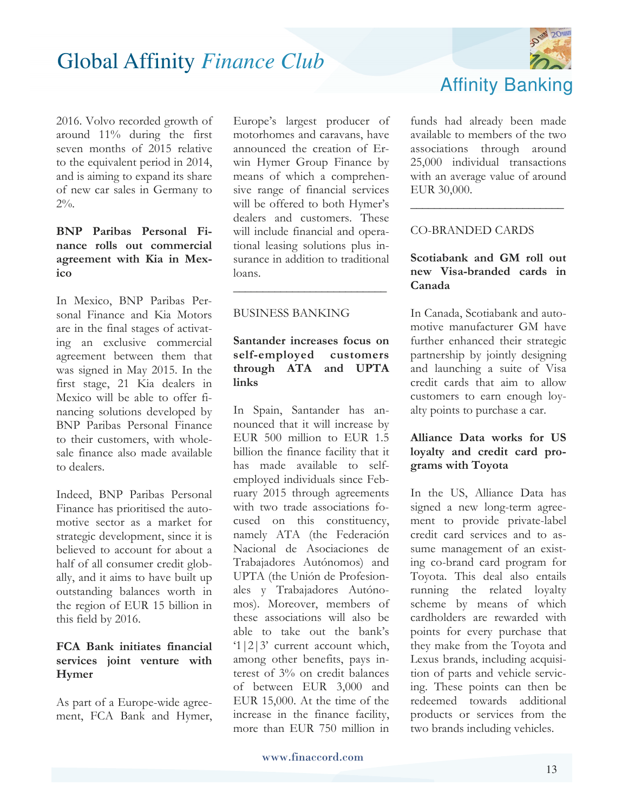

2016. Volvo recorded growth of around 11% during the first seven months of 2015 relative to the equivalent period in 2014, and is aiming to expand its share of new car sales in Germany to  $2\%$ .

### **BNP Paribas Personal Finance rolls out commercial agreement with Kia in Mexico**

In Mexico, BNP Paribas Personal Finance and Kia Motors are in the final stages of activating an exclusive commercial agreement between them that was signed in May 2015. In the first stage, 21 Kia dealers in Mexico will be able to offer financing solutions developed by BNP Paribas Personal Finance to their customers, with wholesale finance also made available to dealers.

Indeed, BNP Paribas Personal Finance has prioritised the automotive sector as a market for strategic development, since it is believed to account for about a half of all consumer credit globally, and it aims to have built up outstanding balances worth in the region of EUR 15 billion in this field by 2016.

#### **FCA Bank initiates financial services joint venture with Hymer**

As part of a Europe-wide agreement, FCA Bank and Hymer,

Europe's largest producer of motorhomes and caravans, have announced the creation of Erwin Hymer Group Finance by means of which a comprehensive range of financial services will be offered to both Hymer's dealers and customers. These will include financial and operational leasing solutions plus insurance in addition to traditional loans.

### BUSINESS BANKING

### **Santander increases focus on self-employed customers through ATA and UPTA links**

**\_\_\_\_\_\_\_\_\_\_\_\_\_\_\_\_\_\_\_\_\_\_\_\_\_\_**

In Spain, Santander has announced that it will increase by EUR 500 million to EUR 1.5 billion the finance facility that it has made available to selfemployed individuals since February 2015 through agreements with two trade associations focused on this constituency, namely ATA (the Federación Nacional de Asociaciones de Trabajadores Autónomos) and UPTA (the Unión de Profesionales y Trabajadores Autónomos). Moreover, members of these associations will also be able to take out the bank's '1|2|3' current account which, among other benefits, pays interest of 3% on credit balances of between EUR 3,000 and EUR 15,000. At the time of the increase in the finance facility, more than EUR 750 million in

funds had already been made available to members of the two associations through around 25,000 individual transactions with an average value of around EUR 30,000.

**\_\_\_\_\_\_\_\_\_\_\_\_\_\_\_\_\_\_\_\_\_\_\_\_\_\_**

#### CO-BRANDED CARDS

### **Scotiabank and GM roll out new Visa-branded cards in Canada**

In Canada, Scotiabank and automotive manufacturer GM have further enhanced their strategic partnership by jointly designing and launching a suite of Visa credit cards that aim to allow customers to earn enough loyalty points to purchase a car.

### **Alliance Data works for US loyalty and credit card programs with Toyota**

In the US, Alliance Data has signed a new long-term agreement to provide private-label credit card services and to assume management of an existing co-brand card program for Toyota. This deal also entails running the related loyalty scheme by means of which cardholders are rewarded with points for every purchase that they make from the Toyota and Lexus brands, including acquisition of parts and vehicle servicing. These points can then be redeemed towards additional products or services from the two brands including vehicles.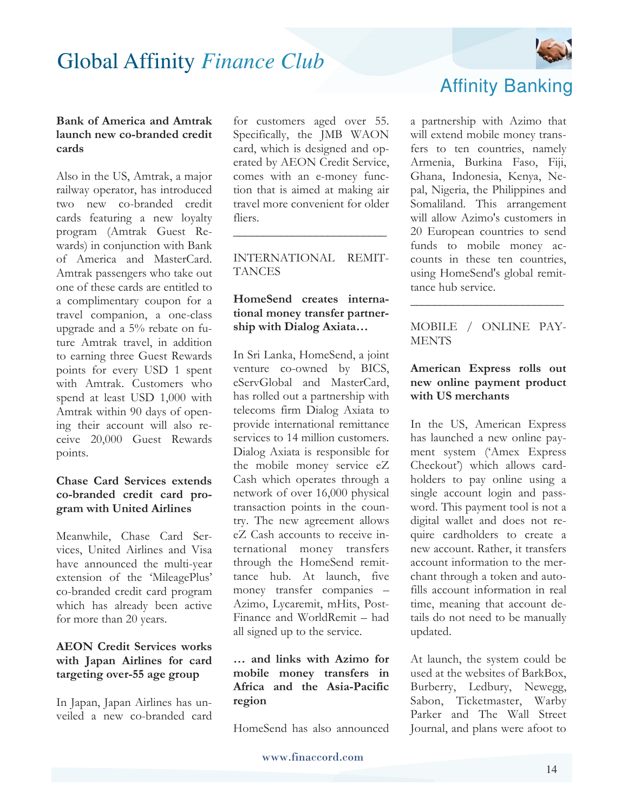

#### **Bank of America and Amtrak launch new co-branded credit cards**

Also in the US, Amtrak, a major railway operator, has introduced two new co-branded credit cards featuring a new loyalty program (Amtrak Guest Rewards) in conjunction with Bank of America and MasterCard. Amtrak passengers who take out one of these cards are entitled to a complimentary coupon for a travel companion, a one-class upgrade and a 5% rebate on future Amtrak travel, in addition to earning three Guest Rewards points for every USD 1 spent with Amtrak. Customers who spend at least USD 1,000 with Amtrak within 90 days of opening their account will also receive 20,000 Guest Rewards points.

### **Chase Card Services extends co-branded credit card program with United Airlines**

Meanwhile, Chase Card Services, United Airlines and Visa have announced the multi-year extension of the 'MileagePlus' co-branded credit card program which has already been active for more than 20 years.

### **AEON Credit Services works with Japan Airlines for card targeting over-55 age group**

In Japan, Japan Airlines has unveiled a new co-branded card

for customers aged over 55. Specifically, the JMB WAON card, which is designed and operated by AEON Credit Service, comes with an e-money function that is aimed at making air travel more convenient for older fliers.

INTERNATIONAL REMIT-**TANCES** 

**\_\_\_\_\_\_\_\_\_\_\_\_\_\_\_\_\_\_\_\_\_\_\_\_\_\_**

#### **HomeSend creates international money transfer partnership with Dialog Axiata…**

In Sri Lanka, HomeSend, a joint venture co-owned by BICS, eServGlobal and MasterCard, has rolled out a partnership with telecoms firm Dialog Axiata to provide international remittance services to 14 million customers. Dialog Axiata is responsible for the mobile money service eZ Cash which operates through a network of over 16,000 physical transaction points in the country. The new agreement allows eZ Cash accounts to receive international money transfers through the HomeSend remittance hub. At launch, five money transfer companies – Azimo, Lycaremit, mHits, Post-Finance and WorldRemit – had all signed up to the service.

#### **… and links with Azimo for mobile money transfers in Africa and the Asia-Pacific region**

HomeSend has also announced



### Affinity Banking

a partnership with Azimo that will extend mobile money transfers to ten countries, namely Armenia, Burkina Faso, Fiji, Ghana, Indonesia, Kenya, Nepal, Nigeria, the Philippines and Somaliland. This arrangement will allow Azimo's customers in 20 European countries to send funds to mobile money accounts in these ten countries, using HomeSend's global remittance hub service.

MOBILE / ONLINE PAY-**MENTS** 

**\_\_\_\_\_\_\_\_\_\_\_\_\_\_\_\_\_\_\_\_\_\_\_\_\_\_**

#### **American Express rolls out new online payment product with US merchants**

In the US, American Express has launched a new online payment system ('Amex Express Checkout') which allows cardholders to pay online using a single account login and password. This payment tool is not a digital wallet and does not require cardholders to create a new account. Rather, it transfers account information to the merchant through a token and autofills account information in real time, meaning that account details do not need to be manually updated.

At launch, the system could be used at the websites of BarkBox, Burberry, Ledbury, Newegg, Sabon, Ticketmaster, Warby Parker and The Wall Street Journal, and plans were afoot to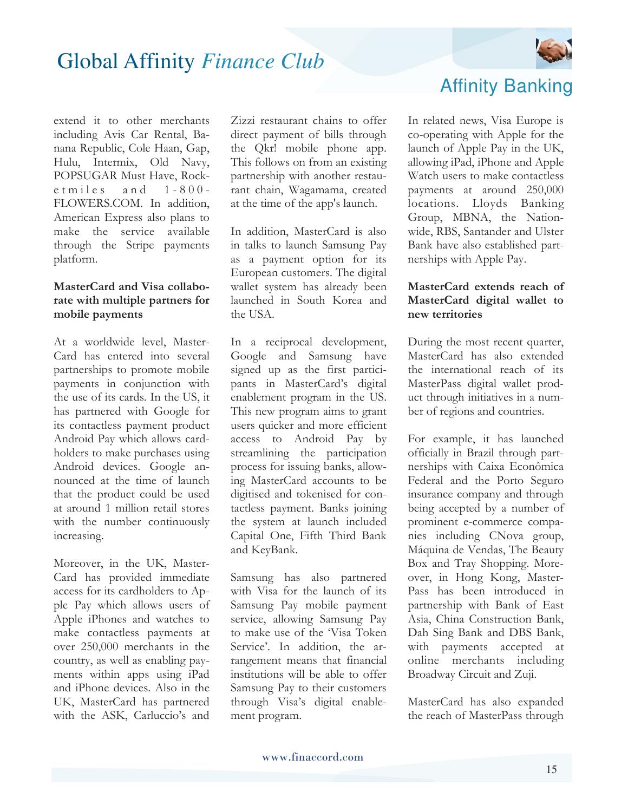

extend it to other merchants including Avis Car Rental, Banana Republic, Cole Haan, Gap, Hulu, Intermix, Old Navy, POPSUGAR Must Have, Rocke t miles and  $1 - 800$  -FLOWERS.COM. In addition, American Express also plans to make the service available through the Stripe payments platform.

#### **MasterCard and Visa collaborate with multiple partners for mobile payments**

At a worldwide level, Master-Card has entered into several partnerships to promote mobile payments in conjunction with the use of its cards. In the US, it has partnered with Google for its contactless payment product Android Pay which allows cardholders to make purchases using Android devices. Google announced at the time of launch that the product could be used at around 1 million retail stores with the number continuously increasing.

Moreover, in the UK, Master-Card has provided immediate access for its cardholders to Apple Pay which allows users of Apple iPhones and watches to make contactless payments at over 250,000 merchants in the country, as well as enabling payments within apps using iPad and iPhone devices. Also in the UK, MasterCard has partnered with the ASK, Carluccio's and Zizzi restaurant chains to offer direct payment of bills through the Qkr! mobile phone app. This follows on from an existing partnership with another restaurant chain, Wagamama, created at the time of the app's launch.

In addition, MasterCard is also in talks to launch Samsung Pay as a payment option for its European customers. The digital wallet system has already been launched in South Korea and the USA.

In a reciprocal development, Google and Samsung have signed up as the first participants in MasterCard's digital enablement program in the US. This new program aims to grant users quicker and more efficient access to Android Pay by streamlining the participation process for issuing banks, allowing MasterCard accounts to be digitised and tokenised for contactless payment. Banks joining the system at launch included Capital One, Fifth Third Bank and KeyBank.

Samsung has also partnered with Visa for the launch of its Samsung Pay mobile payment service, allowing Samsung Pay to make use of the 'Visa Token Service'. In addition, the arrangement means that financial institutions will be able to offer Samsung Pay to their customers through Visa's digital enablement program.



In related news, Visa Europe is co-operating with Apple for the launch of Apple Pay in the UK, allowing iPad, iPhone and Apple Watch users to make contactless payments at around 250,000 locations. Lloyds Banking Group, MBNA, the Nationwide, RBS, Santander and Ulster Bank have also established partnerships with Apple Pay.

#### **MasterCard extends reach of MasterCard digital wallet to new territories**

During the most recent quarter, MasterCard has also extended the international reach of its MasterPass digital wallet product through initiatives in a number of regions and countries.

For example, it has launched officially in Brazil through partnerships with Caixa Econômica Federal and the Porto Seguro insurance company and through being accepted by a number of prominent e-commerce companies including CNova group, Máquina de Vendas, The Beauty Box and Tray Shopping. Moreover, in Hong Kong, Master-Pass has been introduced in partnership with Bank of East Asia, China Construction Bank, Dah Sing Bank and DBS Bank, with payments accepted at online merchants including Broadway Circuit and Zuji.

MasterCard has also expanded the reach of MasterPass through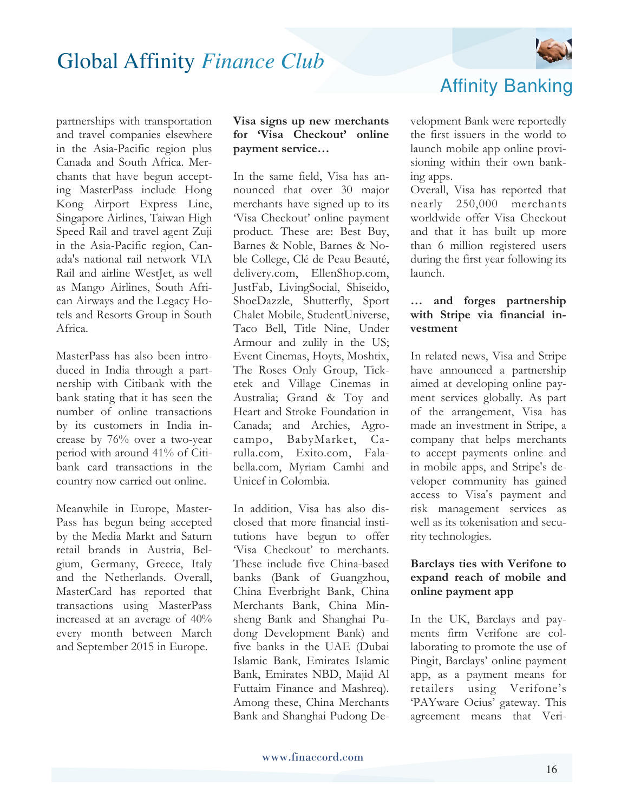

partnerships with transportation and travel companies elsewhere in the Asia-Pacific region plus Canada and South Africa. Merchants that have begun accepting MasterPass include Hong Kong Airport Express Line, Singapore Airlines, Taiwan High Speed Rail and travel agent Zuji in the Asia-Pacific region, Canada's national rail network VIA Rail and airline WestJet, as well as Mango Airlines, South African Airways and the Legacy Hotels and Resorts Group in South Africa.

MasterPass has also been introduced in India through a partnership with Citibank with the bank stating that it has seen the number of online transactions by its customers in India increase by 76% over a two-year period with around 41% of Citibank card transactions in the country now carried out online.

Meanwhile in Europe, Master-Pass has begun being accepted by the Media Markt and Saturn retail brands in Austria, Belgium, Germany, Greece, Italy and the Netherlands. Overall, MasterCard has reported that transactions using MasterPass increased at an average of 40% every month between March and September 2015 in Europe.

#### **Visa signs up new merchants for 'Visa Checkout' online payment service…**

In the same field, Visa has announced that over 30 major merchants have signed up to its 'Visa Checkout' online payment product. These are: Best Buy, Barnes & Noble, Barnes & Noble College, Clé de Peau Beauté, delivery.com, EllenShop.com, JustFab, LivingSocial, Shiseido, ShoeDazzle, Shutterfly, Sport Chalet Mobile, StudentUniverse, Taco Bell, Title Nine, Under Armour and zulily in the US; Event Cinemas, Hoyts, Moshtix, The Roses Only Group, Ticketek and Village Cinemas in Australia; Grand & Toy and Heart and Stroke Foundation in Canada; and Archies, Agrocampo, BabyMarket, Carulla.com, Exito.com, Falabella.com, Myriam Camhi and Unicef in Colombia.

In addition, Visa has also disclosed that more financial institutions have begun to offer 'Visa Checkout' to merchants. These include five China-based banks (Bank of Guangzhou, China Everbright Bank, China Merchants Bank, China Minsheng Bank and Shanghai Pudong Development Bank) and five banks in the UAE (Dubai Islamic Bank, Emirates Islamic Bank, Emirates NBD, Majid Al Futtaim Finance and Mashreq). Among these, China Merchants Bank and Shanghai Pudong De-

### Affinity Banking

velopment Bank were reportedly the first issuers in the world to launch mobile app online provisioning within their own banking apps.

Overall, Visa has reported that nearly 250,000 merchants worldwide offer Visa Checkout and that it has built up more than 6 million registered users during the first year following its launch.

#### **… and forges partnership with Stripe via financial investment**

In related news, Visa and Stripe have announced a partnership aimed at developing online payment services globally. As part of the arrangement, Visa has made an investment in Stripe, a company that helps merchants to accept payments online and in mobile apps, and Stripe's developer community has gained access to Visa's payment and risk management services as well as its tokenisation and security technologies.

#### **Barclays ties with Verifone to expand reach of mobile and online payment app**

In the UK, Barclays and payments firm Verifone are collaborating to promote the use of Pingit, Barclays' online payment app, as a payment means for retailers using Verifone's 'PAYware Ocius' gateway. This agreement means that Veri-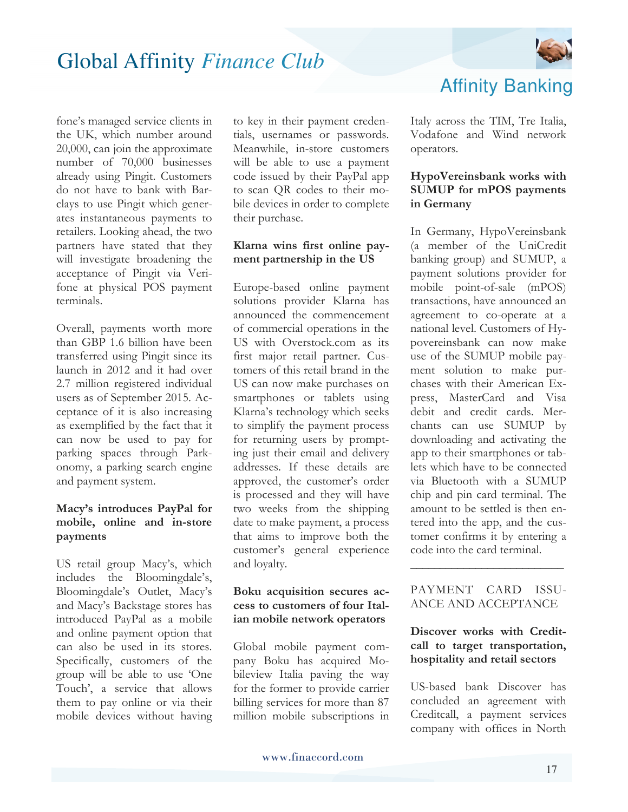

fone's managed service clients in the UK, which number around 20,000, can join the approximate number of 70,000 businesses already using Pingit. Customers do not have to bank with Barclays to use Pingit which generates instantaneous payments to retailers. Looking ahead, the two partners have stated that they will investigate broadening the acceptance of Pingit via Verifone at physical POS payment terminals.

Overall, payments worth more than GBP 1.6 billion have been transferred using Pingit since its launch in 2012 and it had over 2.7 million registered individual users as of September 2015. Acceptance of it is also increasing as exemplified by the fact that it can now be used to pay for parking spaces through Parkonomy, a parking search engine and payment system.

#### **Macy's introduces PayPal for mobile, online and in-store payments**

US retail group Macy's, which includes the Bloomingdale's, Bloomingdale's Outlet, Macy's and Macy's Backstage stores has introduced PayPal as a mobile and online payment option that can also be used in its stores. Specifically, customers of the group will be able to use 'One Touch', a service that allows them to pay online or via their mobile devices without having

to key in their payment credentials, usernames or passwords. Meanwhile, in-store customers will be able to use a payment code issued by their PayPal app to scan QR codes to their mobile devices in order to complete their purchase.

#### **Klarna wins first online payment partnership in the US**

Europe-based online payment solutions provider Klarna has announced the commencement of commercial operations in the US with Overstock.com as its first major retail partner. Customers of this retail brand in the US can now make purchases on smartphones or tablets using Klarna's technology which seeks to simplify the payment process for returning users by prompting just their email and delivery addresses. If these details are approved, the customer's order is processed and they will have two weeks from the shipping date to make payment, a process that aims to improve both the customer's general experience and loyalty.

#### **Boku acquisition secures access to customers of four Italian mobile network operators**

Global mobile payment company Boku has acquired Mobileview Italia paving the way for the former to provide carrier billing services for more than 87 million mobile subscriptions in Affinity Banking

Italy across the TIM, Tre Italia, Vodafone and Wind network operators.

#### **HypoVereinsbank works with SUMUP for mPOS payments in Germany**

In Germany, HypoVereinsbank (a member of the UniCredit banking group) and SUMUP, a payment solutions provider for mobile point-of-sale (mPOS) transactions, have announced an agreement to co-operate at a national level. Customers of Hypovereinsbank can now make use of the SUMUP mobile payment solution to make purchases with their American Express, MasterCard and Visa debit and credit cards. Merchants can use SUMUP by downloading and activating the app to their smartphones or tablets which have to be connected via Bluetooth with a SUMUP chip and pin card terminal. The amount to be settled is then entered into the app, and the customer confirms it by entering a code into the card terminal.

#### PAYMENT CARD ISSU-ANCE AND ACCEPTANCE

**\_\_\_\_\_\_\_\_\_\_\_\_\_\_\_\_\_\_\_\_\_\_\_\_\_\_**

#### **Discover works with Creditcall to target transportation, hospitality and retail sectors**

US-based bank Discover has concluded an agreement with Creditcall, a payment services company with offices in North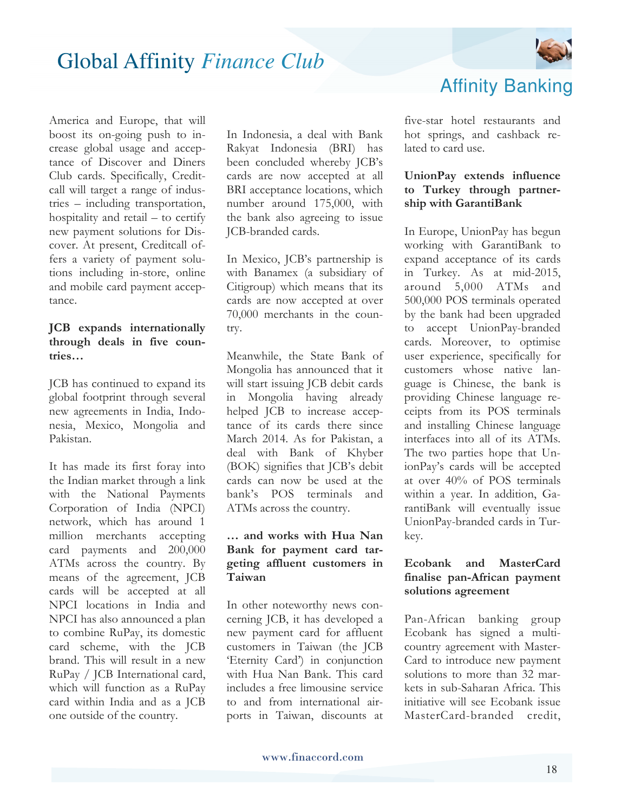

America and Europe, that will boost its on-going push to increase global usage and acceptance of Discover and Diners Club cards. Specifically, Creditcall will target a range of industries – including transportation, hospitality and retail – to certify new payment solutions for Discover. At present, Creditcall offers a variety of payment solutions including in-store, online and mobile card payment acceptance.

#### **JCB expands internationally through deals in five countries…**

JCB has continued to expand its global footprint through several new agreements in India, Indonesia, Mexico, Mongolia and Pakistan.

It has made its first foray into the Indian market through a link with the National Payments Corporation of India (NPCI) network, which has around 1 million merchants accepting card payments and 200,000 ATMs across the country. By means of the agreement, JCB cards will be accepted at all NPCI locations in India and NPCI has also announced a plan to combine RuPay, its domestic card scheme, with the JCB brand. This will result in a new RuPay / JCB International card, which will function as a RuPay card within India and as a JCB one outside of the country.

In Indonesia, a deal with Bank Rakyat Indonesia (BRI) has been concluded whereby JCB's cards are now accepted at all BRI acceptance locations, which number around 175,000, with the bank also agreeing to issue JCB-branded cards.

In Mexico, JCB's partnership is with Banamex (a subsidiary of Citigroup) which means that its cards are now accepted at over 70,000 merchants in the country.

Meanwhile, the State Bank of Mongolia has announced that it will start issuing JCB debit cards in Mongolia having already helped JCB to increase acceptance of its cards there since March 2014. As for Pakistan, a deal with Bank of Khyber (BOK) signifies that JCB's debit cards can now be used at the bank's POS terminals and ATMs across the country.

#### **… and works with Hua Nan Bank for payment card targeting affluent customers in Taiwan**

In other noteworthy news concerning JCB, it has developed a new payment card for affluent customers in Taiwan (the JCB 'Eternity Card') in conjunction with Hua Nan Bank. This card includes a free limousine service to and from international airports in Taiwan, discounts at five-star hotel restaurants and hot springs, and cashback related to card use.

Affinity Banking

#### **UnionPay extends influence to Turkey through partnership with GarantiBank**

In Europe, UnionPay has begun working with GarantiBank to expand acceptance of its cards in Turkey. As at mid-2015, around 5,000 ATMs and 500,000 POS terminals operated by the bank had been upgraded to accept UnionPay-branded cards. Moreover, to optimise user experience, specifically for customers whose native language is Chinese, the bank is providing Chinese language receipts from its POS terminals and installing Chinese language interfaces into all of its ATMs. The two parties hope that UnionPay's cards will be accepted at over 40% of POS terminals within a year. In addition, GarantiBank will eventually issue UnionPay-branded cards in Turkey.

#### **Ecobank and MasterCard finalise pan-African payment solutions agreement**

Pan-African banking group Ecobank has signed a multicountry agreement with Master-Card to introduce new payment solutions to more than 32 markets in sub-Saharan Africa. This initiative will see Ecobank issue MasterCard-branded credit,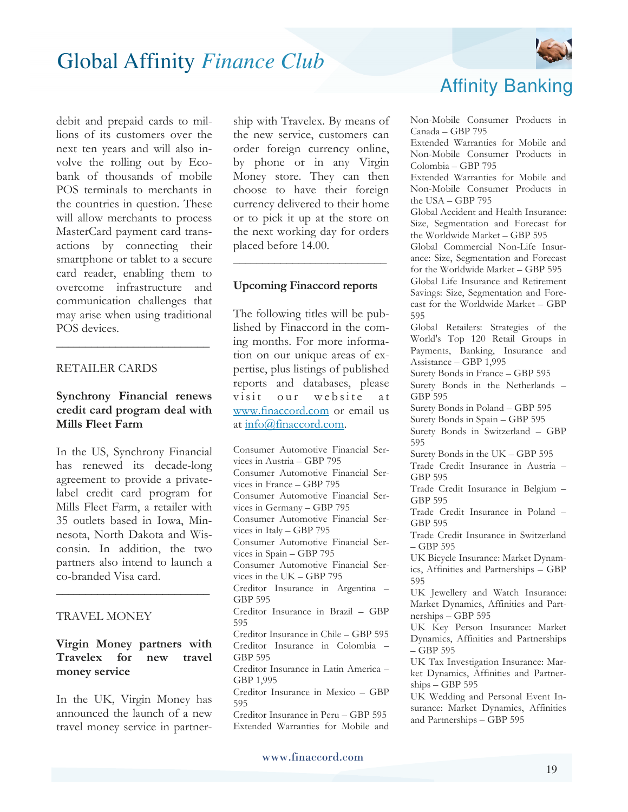debit and prepaid cards to millions of its customers over the next ten years and will also involve the rolling out by Ecobank of thousands of mobile POS terminals to merchants in the countries in question. These will allow merchants to process MasterCard payment card transactions by connecting their smartphone or tablet to a secure card reader, enabling them to overcome infrastructure and communication challenges that may arise when using traditional POS devices.

#### RETAILER CARDS

#### **Synchrony Financial renews credit card program deal with Mills Fleet Farm**

**\_\_\_\_\_\_\_\_\_\_\_\_\_\_\_\_\_\_\_\_\_\_\_\_\_\_**

In the US, Synchrony Financial has renewed its decade-long agreement to provide a privatelabel credit card program for Mills Fleet Farm, a retailer with 35 outlets based in Iowa, Minnesota, North Dakota and Wisconsin. In addition, the two partners also intend to launch a co-branded Visa card.

#### TRAVEL MONEY

#### **Virgin Money partners with Travelex for new travel money service**

**\_\_\_\_\_\_\_\_\_\_\_\_\_\_\_\_\_\_\_\_\_\_\_\_\_\_**

In the UK, Virgin Money has announced the launch of a new travel money service in partner-

ship with Travelex. By means of the new service, customers can order foreign currency online, by phone or in any Virgin Money store. They can then choose to have their foreign currency delivered to their home or to pick it up at the store on the next working day for orders placed before 14.00.

#### **Upcoming Finaccord reports**

**\_\_\_\_\_\_\_\_\_\_\_\_\_\_\_\_\_\_\_\_\_\_\_\_\_\_**

The following titles will be published by Finaccord in the coming months. For more information on our unique areas of expertise, plus listings of published reports and databases, please visit our website at www.finaccord.com or email us at info@finaccord.com.

Consumer Automotive Financial Services in Austria – GBP 795 Consumer Automotive Financial Services in France – GBP 795 Consumer Automotive Financial Services in Germany – GBP 795 Consumer Automotive Financial Services in Italy – GBP 795 Consumer Automotive Financial Services in Spain – GBP 795 Consumer Automotive Financial Services in the UK – GBP 795 Creditor Insurance in Argentina – GBP 595 Creditor Insurance in Brazil – GBP 595 Creditor Insurance in Chile – GBP 595 Creditor Insurance in Colombia – GBP 595 Creditor Insurance in Latin America – GBP 1,995 Creditor Insurance in Mexico – GBP 595 Creditor Insurance in Peru – GBP 595 Extended Warranties for Mobile and



### Affinity Banking

Non-Mobile Consumer Products in Canada – GBP 795

Extended Warranties for Mobile and Non-Mobile Consumer Products in Colombia – GBP 795

Extended Warranties for Mobile and Non-Mobile Consumer Products in the USA – GBP 795

Global Accident and Health Insurance: Size, Segmentation and Forecast for the Worldwide Market – GBP 595

Global Commercial Non-Life Insurance: Size, Segmentation and Forecast for the Worldwide Market – GBP 595 Global Life Insurance and Retirement Savings: Size, Segmentation and Fore-

cast for the Worldwide Market – GBP 595

Global Retailers: Strategies of the World's Top 120 Retail Groups in Payments, Banking, Insurance and Assistance – GBP 1,995

Surety Bonds in France – GBP 595

Surety Bonds in the Netherlands – GBP 595

Surety Bonds in Poland – GBP 595

Surety Bonds in Spain – GBP 595 Surety Bonds in Switzerland – GBP 595

Surety Bonds in the UK – GBP 595

Trade Credit Insurance in Austria – GBP 595

Trade Credit Insurance in Belgium – GBP 595

Trade Credit Insurance in Poland – GBP 595

Trade Credit Insurance in Switzerland – GBP 595

UK Bicycle Insurance: Market Dynamics, Affinities and Partnerships – GBP 595

UK Jewellery and Watch Insurance: Market Dynamics, Affinities and Partnerships – GBP 595

UK Key Person Insurance: Market Dynamics, Affinities and Partnerships – GBP 595

UK Tax Investigation Insurance: Market Dynamics, Affinities and Partnerships – GBP 595

UK Wedding and Personal Event Insurance: Market Dynamics, Affinities and Partnerships – GBP 595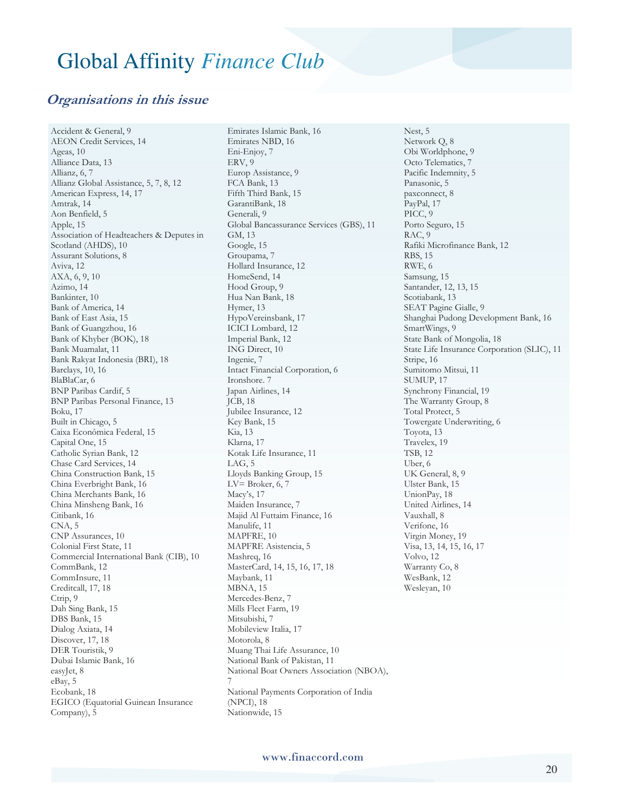### **Organisations in this issue**

Accident & General, 9 AEON Credit Services, 14 Ageas, 10 Alliance Data, 13 Allianz, 6, 7 Allianz Global Assistance, 5, 7, 8, 12 American Express, 14, 17 Amtrak, 14 Aon Benfield, 5 Apple, 15 Association of Headteachers & Deputes in Scotland (AHDS), 10 Assurant Solutions, 8 Aviva, 12 AXA, 6, 9, 10 Azimo, 14 Bankinter, 10 Bank of America, 14 Bank of East Asia, 15 Bank of Guangzhou, 16 Bank of Khyber (BOK), 18 Bank Muamalat, 11 Bank Rakyat Indonesia (BRI), 18 Barclays, 10, 16 BlaBlaCar, 6 BNP Paribas Cardif, 5 BNP Paribas Personal Finance, 13 Boku, 17 Built in Chicago, 5 Caixa Econômica Federal, 15 Capital One, 15 Catholic Syrian Bank, 12 Chase Card Services, 14 China Construction Bank, 15 China Everbright Bank, 16 China Merchants Bank, 16 China Minsheng Bank, 16 Citibank, 16 CNA, 5 CNP Assurances, 10 Colonial First State, 11 Commercial International Bank (CIB), 10 CommBank, 12 CommInsure, 11 Creditcall, 17, 18 Ctrip, 9 Dah Sing Bank, 15 DBS Bank, 15 Dialog Axiata, 14 Discover, 17, 18 DER Touristik, 9 Dubai Islamic Bank, 16 easyJet, 8 eBay, 5 Ecobank, 18 EGICO (Equatorial Guinean Insurance Company), 5

Emirates Islamic Bank, 16 Emirates NBD, 16 Eni-Enjoy, 7 ERV, 9 Europ Assistance, 9 FCA Bank, 13 Fifth Third Bank, 15 GarantiBank, 18 Generali, 9 Global Bancassurance Services (GBS), 11 GM, 13 Google, 15 Groupama, 7 Hollard Insurance, 12 HomeSend, 14 Hood Group, 9 Hua Nan Bank, 18 Hymer, 13 HypoVereinsbank, 17 ICICI Lombard, 12 Imperial Bank, 12 ING Direct, 10 Ingenie, 7 Intact Financial Corporation, 6 Ironshore. 7 Japan Airlines, 14 JCB, 18 Jubilee Insurance, 12 Key Bank, 15 Kia, 13 Klarna, 17 Kotak Life Insurance, 11  $LAG, 5$ Lloyds Banking Group, 15 LV= Broker,  $6, 7$ Macy's, 17 Maiden Insurance, 7 Majid Al Futtaim Finance, 16 Manulife, 11 MAPFRE, 10 MAPFRE Asistencia, 5 Mashreq, 16 MasterCard, 14, 15, 16, 17, 18 Maybank, 11 MBNA, 15 Mercedes-Benz, 7 Mills Fleet Farm, 19 Mitsubishi, 7 Mobileview Italia, 17 Motorola, 8 Muang Thai Life Assurance, 10 National Bank of Pakistan, 11 National Boat Owners Association (NBOA), 7 National Payments Corporation of India (NPCI), 18 Nationwide, 15

Nest, 5 Network Q, 8 Obi Worldphone, 9 Octo Telematics, 7 Pacific Indemnity, 5 Panasonic, 5 paxconnect, 8 PayPal, 17 PICC, 9 Porto Seguro, 15 RAC, 9 Rafiki Microfinance Bank, 12 RBS, 15 RWE, 6 Samsung, 15 Santander, 12, 13, 15 Scotiabank, 13 SEAT Pagine Gialle, 9 Shanghai Pudong Development Bank, 16 SmartWings, 9 State Bank of Mongolia, 18 State Life Insurance Corporation (SLIC), 11 Stripe, 16 Sumitomo Mitsui, 11 SUMUP, 17 Synchrony Financial, 19 The Warranty Group, 8 Total Protect, 5 Towergate Underwriting, 6 Toyota, 13 Travelex, 19 TSB, 12 Uber, 6 UK General, 8, 9 Ulster Bank, 15 UnionPay, 18 United Airlines, 14 Vauxhall, 8 Verifone, 16 Virgin Money, 19 Visa, 13, 14, 15, 16, 17 Volvo, 12 Warranty Co, 8 WesBank, 12 Wesleyan, 10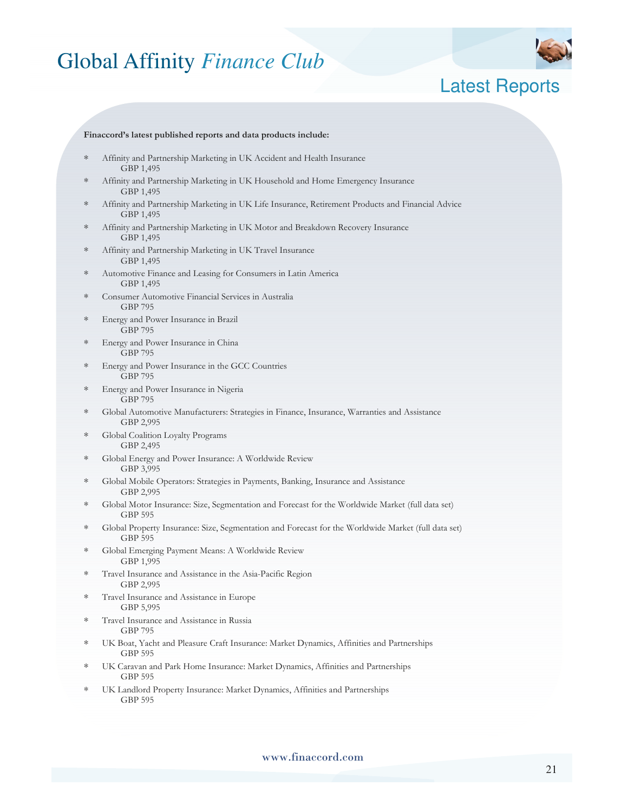

### Latest Reports

#### **Finaccord's latest published reports and data products include:**

- ∗ Affinity and Partnership Marketing in UK Accident and Health Insurance GBP 1,495
- Affinity and Partnership Marketing in UK Household and Home Emergency Insurance GBP 1,495
- ∗ Affinity and Partnership Marketing in UK Life Insurance, Retirement Products and Financial Advice GBP 1,495
- Affinity and Partnership Marketing in UK Motor and Breakdown Recovery Insurance GBP 1,495
- Affinity and Partnership Marketing in UK Travel Insurance GBP 1,495
- Automotive Finance and Leasing for Consumers in Latin America GBP 1,495
- Consumer Automotive Financial Services in Australia GBP 795
- Energy and Power Insurance in Brazil GBP 795
- ∗ Energy and Power Insurance in China GBP 795
- ∗ Energy and Power Insurance in the GCC Countries GBP 795
- ∗ Energy and Power Insurance in Nigeria GBP 795
- ∗ Global Automotive Manufacturers: Strategies in Finance, Insurance, Warranties and Assistance GBP 2,995
- ∗ Global Coalition Loyalty Programs GBP 2,495
- Global Energy and Power Insurance: A Worldwide Review GBP 3,995
- Global Mobile Operators: Strategies in Payments, Banking, Insurance and Assistance GBP 2,995
- ∗ Global Motor Insurance: Size, Segmentation and Forecast for the Worldwide Market (full data set) GBP 595
- ∗ Global Property Insurance: Size, Segmentation and Forecast for the Worldwide Market (full data set) GBP 595
- ∗ Global Emerging Payment Means: A Worldwide Review GBP 1,995
- Travel Insurance and Assistance in the Asia-Pacific Region GBP 2,995
- ∗ Travel Insurance and Assistance in Europe GBP 5,995
- Travel Insurance and Assistance in Russia GBP 795
- UK Boat, Yacht and Pleasure Craft Insurance: Market Dynamics, Affinities and Partnerships GBP 595
- UK Caravan and Park Home Insurance: Market Dynamics, Affinities and Partnerships GBP 595
- ∗ UK Landlord Property Insurance: Market Dynamics, Affinities and Partnerships GBP 595